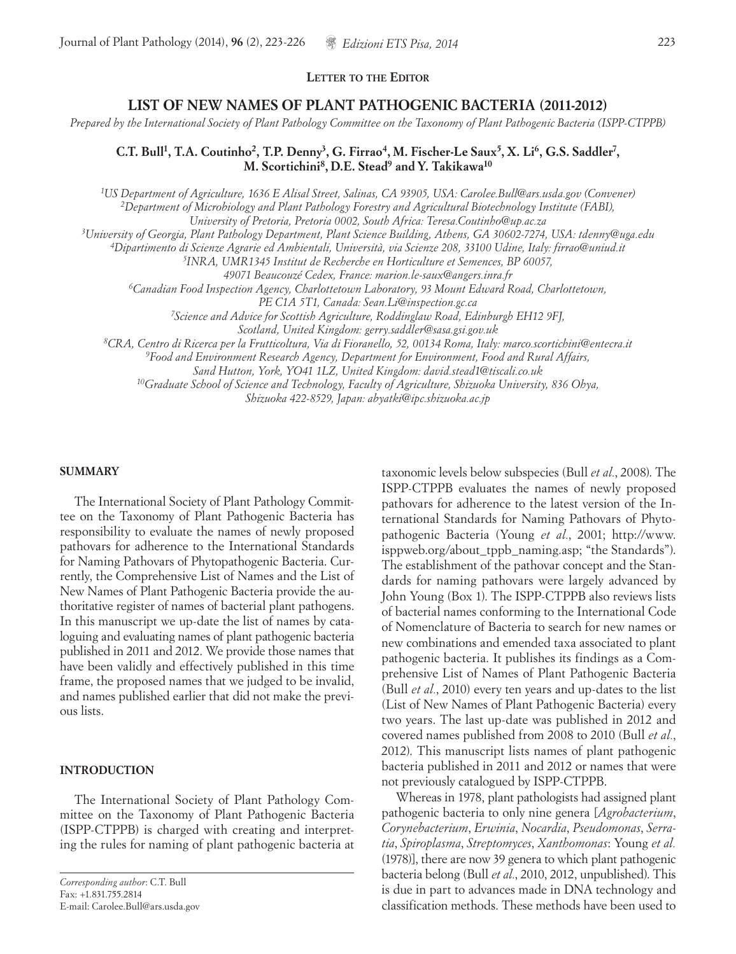# **LIST OF NEW NAMES OF PLANT PATHOGENIC BACTERIA (2011-2012)**

*Prepared by the International Society of Plant Pathology Committee on the Taxonomy of Plant Pathogenic Bacteria (ISPP-CTPPB)*

# **C.T. Bull1, T.A. Coutinho2, T.P. Denny3, G. Firrao4, M. Fischer-Le Saux5, X. Li6, G.S. Saddler7 , M. Scortichini8, D.E. Stead9 and Y. Takikawa10**

*1 US Department of Agriculture, 1636 E Alisal Street, Salinas, CA 93905, USA: Carolee.Bull@ars.usda.gov (Convener) 2Department of Microbiology and Plant Pathology Forestry and Agricultural Biotechnology Institute (FABI), University of Pretoria, Pretoria 0002, South Africa: Teresa.Coutinho@up.ac.za 3University of Georgia, Plant Pathology Department, Plant Science Building, Athens, GA 30602-7274, USA: tdenny@uga.edu 4Dipartimento di Scienze Agrarie ed Ambientali, Università, via Scienze 208, 33100 Udine, Italy: firrao@uniud.it 5INRA, UMR1345 Institut de Recherche en Horticulture et Semences, BP 60057, 49071 Beaucouzé Cedex, France: marion.le-saux@angers.inra.fr 6Canadian Food Inspection Agency, Charlottetown Laboratory, 93 Mount Edward Road, Charlottetown, PE C1A 5T1, Canada: Sean.Li@inspection.gc.ca 7Science and Advice for Scottish Agriculture, Roddinglaw Road, Edinburgh EH12 9FJ, Scotland, United Kingdom: gerry.saddler@sasa.gsi.gov.uk 8CRA, Centro di Ricerca per la Frutticoltura, Via di Fioranello, 52, 00134 Roma, Italy: marco.scortichini@entecra.it 9Food and Environment Research Agency, Department for Environment, Food and Rural Affairs,* 

*Sand Hutton, York, YO41 1LZ, United Kingdom: david.stead1@tiscali.co.uk*

*10Graduate School of Science and Technology, Faculty of Agriculture, Shizuoka University, 836 Ohya,* 

*Shizuoka 422-8529, Japan: abyatki@ipc.shizuoka.ac.jp*

#### **SUMMARY**

The International Society of Plant Pathology Committee on the Taxonomy of Plant Pathogenic Bacteria has responsibility to evaluate the names of newly proposed pathovars for adherence to the International Standards for Naming Pathovars of Phytopathogenic Bacteria. Currently, the Comprehensive List of Names and the List of New Names of Plant Pathogenic Bacteria provide the authoritative register of names of bacterial plant pathogens. In this manuscript we up-date the list of names by cataloguing and evaluating names of plant pathogenic bacteria published in 2011 and 2012. We provide those names that have been validly and effectively published in this time frame, the proposed names that we judged to be invalid, and names published earlier that did not make the previous lists.

# **INTRODUCTION**

The International Society of Plant Pathology Committee on the Taxonomy of Plant Pathogenic Bacteria (ISPP-CTPPB) is charged with creating and interpreting the rules for naming of plant pathogenic bacteria at

taxonomic levels below subspecies (Bull *et al.*, 2008). The ISPP-CTPPB evaluates the names of newly proposed pathovars for adherence to the latest version of the International Standards for Naming Pathovars of Phytopathogenic Bacteria (Young *et al.*, 2001; http://www. isppweb.org/about\_tppb\_naming.asp; "the Standards"). The establishment of the pathovar concept and the Standards for naming pathovars were largely advanced by John Young (Box 1). The ISPP-CTPPB also reviews lists of bacterial names conforming to the International Code of Nomenclature of Bacteria to search for new names or new combinations and emended taxa associated to plant pathogenic bacteria. It publishes its findings as a Comprehensive List of Names of Plant Pathogenic Bacteria (Bull *et al.*, 2010) every ten years and up-dates to the list (List of New Names of Plant Pathogenic Bacteria) every two years. The last up-date was published in 2012 and covered names published from 2008 to 2010 (Bull *et al.*, 2012). This manuscript lists names of plant pathogenic bacteria published in 2011 and 2012 or names that were not previously catalogued by ISPP-CTPPB.

Whereas in 1978, plant pathologists had assigned plant pathogenic bacteria to only nine genera [*Agrobacterium*, *Corynebacterium*, *Erwinia*, *Nocardia*, *Pseudomonas*, *Serratia*, *Spiroplasma*, *Streptomyces*, *Xanthomonas*: Young *et al.*  (1978)], there are now 39 genera to which plant pathogenic bacteria belong (Bull *et al.*, 2010, 2012, unpublished). This is due in part to advances made in DNA technology and classification methods. These methods have been used to

*Corresponding author*: C.T. Bull Fax: +1.831.755.2814 E-mail: Carolee.Bull@ars.usda.gov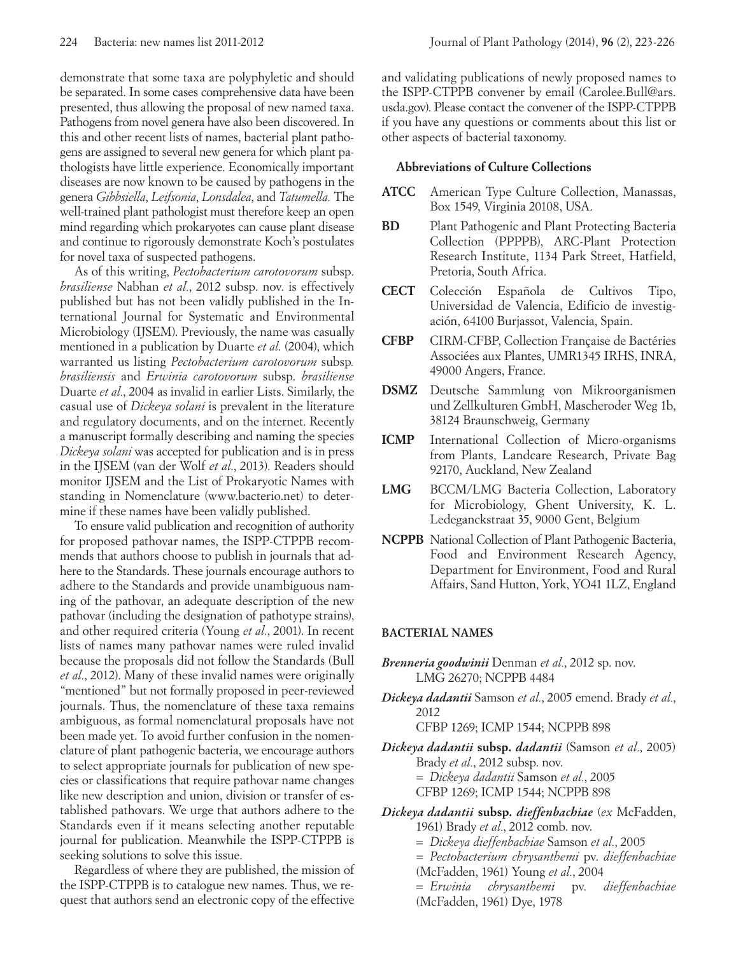demonstrate that some taxa are polyphyletic and should be separated. In some cases comprehensive data have been presented, thus allowing the proposal of new named taxa. Pathogens from novel genera have also been discovered. In this and other recent lists of names, bacterial plant pathogens are assigned to several new genera for which plant pathologists have little experience. Economically important diseases are now known to be caused by pathogens in the genera *Gibbsiella*, *Leifsonia*, *Lonsdalea*, and *Tatumella.* The well-trained plant pathologist must therefore keep an open mind regarding which prokaryotes can cause plant disease and continue to rigorously demonstrate Koch's postulates for novel taxa of suspected pathogens.

As of this writing, *Pectobacterium carotovorum* subsp. *brasiliense* Nabhan *et al.*, 2012 subsp. nov. is effectively published but has not been validly published in the International Journal for Systematic and Environmental Microbiology (IJSEM). Previously, the name was casually mentioned in a publication by Duarte *et al*. (2004), which warranted us listing *Pectobacterium carotovorum* subsp*. brasiliensis* and *Erwinia carotovorum* subsp. *brasiliense* Duarte *et al.*, 2004 as invalid in earlier Lists. Similarly, the casual use of *Dickeya solani* is prevalent in the literature and regulatory documents, and on the internet. Recently a manuscript formally describing and naming the species *Dickeya solani* was accepted for publication and is in press in the IJSEM (van der Wolf *et al*., 2013). Readers should monitor IJSEM and the List of Prokaryotic Names with standing in Nomenclature (www.bacterio.net) to determine if these names have been validly published.

To ensure valid publication and recognition of authority for proposed pathovar names, the ISPP-CTPPB recommends that authors choose to publish in journals that adhere to the Standards. These journals encourage authors to adhere to the Standards and provide unambiguous naming of the pathovar, an adequate description of the new pathovar (including the designation of pathotype strains), and other required criteria (Young *et al.*, 2001). In recent lists of names many pathovar names were ruled invalid because the proposals did not follow the Standards (Bull *et al.*, 2012). Many of these invalid names were originally "mentioned" but not formally proposed in peer-reviewed journals. Thus, the nomenclature of these taxa remains ambiguous, as formal nomenclatural proposals have not been made yet. To avoid further confusion in the nomenclature of plant pathogenic bacteria, we encourage authors to select appropriate journals for publication of new species or classifications that require pathovar name changes like new description and union, division or transfer of established pathovars. We urge that authors adhere to the Standards even if it means selecting another reputable journal for publication. Meanwhile the ISPP-CTPPB is seeking solutions to solve this issue.

Regardless of where they are published, the mission of the ISPP-CTPPB is to catalogue new names. Thus, we request that authors send an electronic copy of the effective

and validating publications of newly proposed names to the ISPP-CTPPB convener by email (Carolee.Bull@ars. usda.gov). Please contact the convener of the ISPP-CTPPB if you have any questions or comments about this list or other aspects of bacterial taxonomy.

#### **Abbreviations of Culture Collections**

- **ATCC** American Type Culture Collection, Manassas, Box 1549, Virginia 20108, USA.
- **BD** Plant Pathogenic and Plant Protecting Bacteria Collection (PPPPB), ARC-Plant Protection Research Institute, 1134 Park Street, Hatfield, Pretoria, South Africa.
- **CECT** Colección Española de Cultivos Tipo, Universidad de Valencia, Edificio de investigación, 64100 Burjassot, Valencia, Spain.
- **CFBP** CIRM-CFBP, Collection Française de Bactéries Associées aux Plantes, UMR1345 IRHS, INRA, 49000 Angers, France.
- **DSMZ** Deutsche Sammlung von Mikroorganismen und Zellkulturen GmbH, Mascheroder Weg 1b, 38124 Braunschweig, Germany
- **ICMP** International Collection of Micro-organisms from Plants, Landcare Research, Private Bag 92170, Auckland, New Zealand
- **LMG** BCCM/LMG Bacteria Collection, Laboratory for Microbiology, Ghent University, K. L. Ledeganckstraat 35, 9000 Gent, Belgium
- **NCPPB** National Collection of Plant Pathogenic Bacteria, Food and Environment Research Agency, Department for Environment, Food and Rural Affairs, Sand Hutton, York, YO41 1LZ, England

# **BACTERIAL NAMES**

- *Brenneria goodwinii* Denman *et al.*, 2012 sp. nov. LMG 26270; NCPPB 4484
- *Dickeya dadantii* Samson *et al.*, 2005 emend. Brady *et al.*, 2012

CFBP 1269; ICMP 1544; NCPPB 898

- *Dickeya dadantii* **subsp.** *dadantii* (Samson *et al.*, 2005) Brady *et al.*, 2012 subsp. nov. = *Dickeya dadantii* Samson *et al.*, 2005 CFBP 1269; ICMP 1544; NCPPB 898
- *Dickeya dadantii* **subsp.** *dieffenbachiae* (*ex* McFadden, 1961) Brady *et al.*, 2012 comb. nov.
	- = *Dickeya dieffenbachiae* Samson *et al.*, 2005
	- = *Pectobacterium chrysanthemi* pv. *dieffenbachiae*
	- (McFadden, 1961) Young *et al.*, 2004

= *Erwinia chrysanthemi* pv. *dieffenbachiae* (McFadden, 1961) Dye, 1978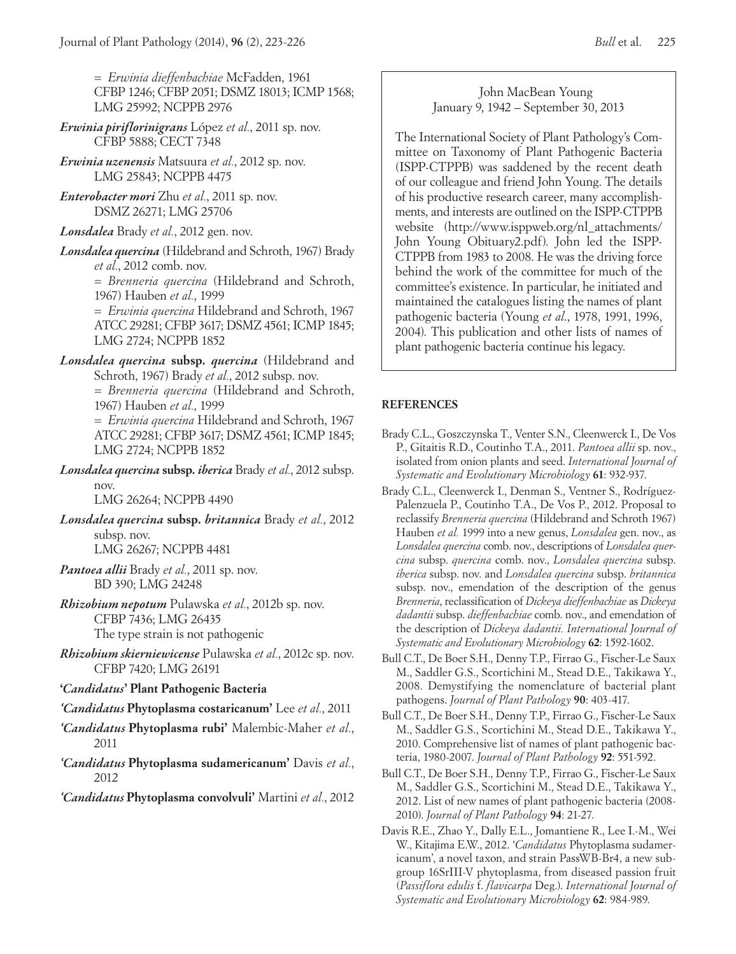= *Erwinia dieffenbachiae* McFadden, 1961 CFBP 1246; CFBP 2051; DSMZ 18013; ICMP 1568; LMG 25992; NCPPB 2976

- *Erwinia piriflorinigrans* López *et al.*, 2011 sp. nov. CFBP 5888; CECT 7348
- *Erwinia uzenensis* Matsuura *et al.*, 2012 sp. nov. LMG 25843; NCPPB 4475
- *Enterobacter mori* Zhu *et al.*, 2011 sp. nov. DSMZ 26271; LMG 25706
- *Lonsdalea* Brady *et al.*, 2012 gen. nov.

*Lonsdalea quercina* (Hildebrand and Schroth, 1967) Brady *et al.*, 2012 comb. nov.

*= Brenneria quercina* (Hildebrand and Schroth, 1967) Hauben *et al.*, 1999

= *Erwinia quercina* Hildebrand and Schroth, 1967 ATCC 29281; CFBP 3617; DSMZ 4561; ICMP 1845; LMG 2724; NCPPB 1852

*Lonsdalea quercina* **subsp.** *quercina* (Hildebrand and Schroth, 1967) Brady *et al.*, 2012 subsp. nov.

> *= Brenneria quercina* (Hildebrand and Schroth, 1967) Hauben *et al.*, 1999

= *Erwinia quercina* Hildebrand and Schroth, 1967 ATCC 29281; CFBP 3617; DSMZ 4561; ICMP 1845; LMG 2724; NCPPB 1852

*Lonsdalea quercina* **subsp.** *iberica* Brady *et al.*, 2012 subsp. nov.

LMG 26264; NCPPB 4490

*Lonsdalea quercina* **subsp.** *britannica* Brady *et al.*, 2012 subsp. nov.

LMG 26267; NCPPB 4481

- *Pantoea allii* Brady *et al.*, 2011 sp. nov. BD 390; LMG 24248
- *Rhizobium nepotum* Pulawska *et al.*, 2012b sp. nov. CFBP 7436; LMG 26435 The type strain is not pathogenic

*Rhizobium skierniewicense* Pulawska *et al.*, 2012c sp. nov. CFBP 7420; LMG 26191

# **'***Candidatus***' Plant Pathogenic Bacteria**

- *'Candidatus* **Phytoplasma costaricanum'** Lee *et al.*, 2011
- *'Candidatus* **Phytoplasma rubi'** Malembic-Maher *et al.*, 2011
- *'Candidatus* **Phytoplasma sudamericanum'** Davis *et al.*, 2012

*'Candidatus* **Phytoplasma convolvuli'** Martini *et al.*, 2012

John MacBean Young January 9, 1942 – September 30, 2013

The International Society of Plant Pathology's Committee on Taxonomy of Plant Pathogenic Bacteria (ISPP-CTPPB) was saddened by the recent death of our colleague and friend John Young. The details of his productive research career, many accomplishments, and interests are outlined on the ISPP-CTPPB website (http://www.isppweb.org/nl\_attachments/ John Young Obituary2.pdf). John led the ISPP-CTPPB from 1983 to 2008. He was the driving force behind the work of the committee for much of the committee's existence. In particular, he initiated and maintained the catalogues listing the names of plant pathogenic bacteria (Young *et al*., 1978, 1991, 1996, 2004). This publication and other lists of names of plant pathogenic bacteria continue his legacy.

### **REFERENCES**

- Brady C.L., Goszczynska T., Venter S.N., Cleenwerck I., De Vos P., Gitaitis R.D., Coutinho T.A., 2011. *Pantoea allii* sp. nov., isolated from onion plants and seed. *International Journal of Systematic and Evolutionary Microbiology* **61**: 932-937.
- Brady C.L., Cleenwerck I., Denman S., Ventner S., Rodríguez-Palenzuela P., Coutinho T.A., De Vos P., 2012. Proposal to reclassify *Brenneria quercina* (Hildebrand and Schroth 1967) Hauben *et al.* 1999 into a new genus, *Lonsdalea* gen. nov., as *Lonsdalea quercina* comb. nov., descriptions of *Lonsdalea quercina* subsp. *quercina* comb. nov., *Lonsdalea quercina* subsp. *iberica* subsp. nov. and *Lonsdalea quercina* subsp. *britannica* subsp. nov., emendation of the description of the genus *Brenneria*, reclassification of *Dickeya dieffenbachiae* as *Dickeya dadantii* subsp. *dieffenbachiae* comb. nov., and emendation of the description of *Dickeya dadantii. International Journal of Systematic and Evolutionary Microbiology* **62**: 1592-1602.
- Bull C.T., De Boer S.H., Denny T.P., Firrao G., Fischer-Le Saux M., Saddler G.S., Scortichini M., Stead D.E., Takikawa Y., 2008. Demystifying the nomenclature of bacterial plant pathogens. *Journal of Plant Pathology* **90**: 403-417.
- Bull C.T., De Boer S.H., Denny T.P., Firrao G., Fischer-Le Saux M., Saddler G.S., Scortichini M., Stead D.E., Takikawa Y., 2010. Comprehensive list of names of plant pathogenic bacteria, 1980-2007. *Journal of Plant Pathology* **92**: 551-592.
- Bull C.T., De Boer S.H., Denny T.P., Firrao G., Fischer-Le Saux M., Saddler G.S., Scortichini M., Stead D.E., Takikawa Y., 2012. List of new names of plant pathogenic bacteria (2008- 2010). *Journal of Plant Pathology* **94**: 21-27.
- Davis R.E., Zhao Y., Dally E.L., Jomantiene R., Lee I.-M., Wei W., Kitajima E.W., 2012. '*Candidatus* Phytoplasma sudamericanum', a novel taxon, and strain PassWB-Br4, a new subgroup 16SrIII-V phytoplasma, from diseased passion fruit (*Passiflora edulis* f. *flavicarpa* Deg.). *International Journal of Systematic and Evolutionary Microbiology* **62**: 984-989.